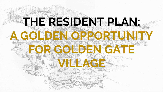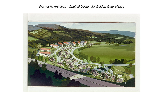#### *Warnecke Archives - Original Design for Golden Gate Village*

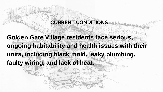#### **CURRENT CONDITIONS**

**Golden Gate Village residents face serious, ongoing habitability and health issues with their units, including black mold, leaky plumbing, faulty wiring, and lack of heat.**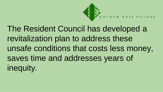

The Resident Council has developed a revitalization plan to address these unsafe conditions that costs less money, saves time and addresses years of inequity.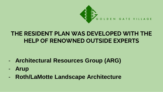

### **THE RESIDENT PLAN WAS DEVELOPED WITH THE HELP OF RENOWNED OUTSIDE EXPERTS**

- **Architectural Resources Group (ARG)**
- **Arup**
- **Roth/LaMotte Landscape Architecture**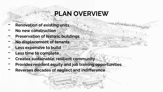# **PLAN OVERVIEW**

- **Renovation of existing units**
- **No new construction**
- **Preservation of historic buildings**
- **No displacement of tenants**
- Less expensive to build
- Less time to complete
- **Creates sustainable, resilient community**
- **Provides resident equity and job training opportunities**
- **Reverses decades of neglect and indifference**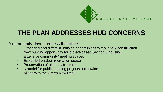

## **THE PLAN ADDRESSES HUD CONCERNS**

A community-driven process that offers:

- Expanded and different housing opportunities without new construction
- New building opportunity for project-based Section 8 housing
- Extensive community/meeting spaces
- Expanded outdoor recreation space
- **Preservation of historic structures**
- A model for public housing projects nationwide
- Aligns with the Green New Deal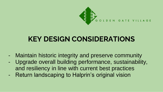

# **KEY DESIGN CONSIDERATIONS**

- Maintain historic integrity and preserve community
- Upgrade overall building performance, sustainability, and resiliency in line with current best practices
- Return landscaping to Halprin's original vision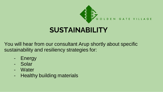

# **SUSTAINABILITY**

You will hear from our consultant Arup shortly about specific sustainability and resiliency strategies for:

- Energy
- Solar
- Water
- Healthy building materials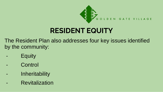

# **RESIDENT EQUITY**

The Resident Plan also addresses four key issues identified by the community:

- **Equity**
- **Control**
- **Inheritability**
- **Revitalization**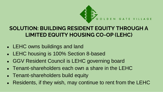

#### **SOLUTION: BUILDING RESIDENT EQUITY THROUGH A LIMITED EQUITY HOUSING CO-OP (LEHC)**

- LEHC owns buildings and land
- LEHC housing is 100% Section 8-based
- GGV Resident Council is LEHC governing board
- $\bullet$  Tenant-shareholders each own a share in the LEHC
- Tenant-shareholders build equity
- Residents, if they wish, may continue to rent from the LEHC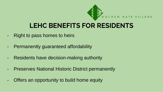

# **LEHC BENEFITS FOR RESIDENTS**

- Right to pass homes to heirs
- Permanently guaranteed affordability
- Residents have decision-making authority
- Preserves National Historic District permanently
- Offers an opportunity to build home equity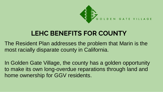

# **LEHC BENEFITS FOR COUNTY**

The Resident Plan addresses the problem that Marin is the most racially disparate county in California.

In Golden Gate Village, the county has a golden opportunity to make its own long-overdue reparations through land and home ownership for GGV residents.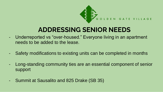

# **ADDRESSING SENIOR NEEDS**

- Underreported vs "over-housed." Everyone living in an apartment needs to be added to the lease.
- Safety modifications to existing units can be completed in months
- Long-standing community ties are an essential component of senior support
- Summit at Sausalito and 825 Drake (SB 35)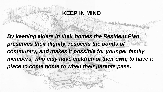### **KEEP IN MIND**

*By keeping elders in their homes the Resident Plan preserves their dignity, respects the bonds of community, and makes it possible for younger family members, who may have children of their own, to have a place to come home to when their parents pass.*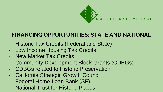

#### **FINANCING OPPORTUNITIES: STATE AND NATIONAL**

- Historic Tax Credits (Federal and State)
- Low Income Housing Tax Credits
- New Market Tax Credits
- Community Development Block Grants (CDBGs)
- CDBGs related to Historic Preservation
- California Strategic Growth Council
- Federal Home Loan Bank (SF)
- **National Trust for Historic Places**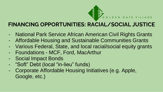

### **FINANCING OPPORTUNITIES: RACIAL/SOCIAL JUSTICE**

- National Park Service African American Civil Rights Grants
- Affordable Housing and Sustainable Communities Grants
- Various Federal, State, and local racial/social equity grants
- Foundations MCF, Ford, MacArthur
- Social Impact Bonds
- "Soft" Debt (local "in-lieu" funds)
- Corporate Affordable Housing Initiatives (e.g. Apple, Google, etc.)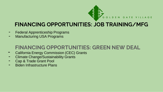

#### **FINANCING OPPORTUNITIES: JOB TRAINING/MFG**

- **Federal Apprenticeship Programs**
- Manufacturing USA Programs

### **FINANCING OPPORTUNITIES: GREEN NEW DEAL**

- California Energy Commission (CEC) Grants
- **Climate Change/Sustainability Grants**
- Cap & Trade Grant Pool
- Biden Infrastructure Plans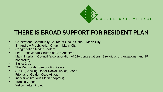

### **THERE IS BROAD SUPPORT FOR RESIDENT PLAN**

- Cornerstone Community Church of God in Christ Marin City
- St. Andrew Presbyterian Church, Marin City
- Congregation Rodef Shalom
- First Presbyterian Church of San Anselmo
- Marin Interfaith Council (a collaboration of 52+ congregations, 8 religious organizations, and 19 nonprofits)
- Sierra Club
- The Redwoods, Seniors For Peace<br>The Rup L(Showing Up for Racial Justic
- SURJ (Showing Up for Racial Justice) Marin
- **Friends of Golden Gate Village**
- Indivisible (various Marin chapters)
- **Turning Green**
- Yellow Letter Project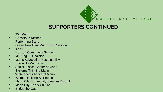

### **SUPPORTERS CONTINUED**

- 350 Marin
- Conscious Kitchen
- **Performing Stars**
- Green New Deal Marin City Coalition
- ISOJI
- Horizon Community School
- ML King Jr. Coalition
- Moms Advocating Sustainability
- Shore Up Marin City
- Social Justice Center of Marin
- Systems Thinking Marin
- **Watershed Alliance of Marin**
- Women Helping All People
- Marin City Community Services District
- Marin City Arts & Culture
- **Bridge the Gap**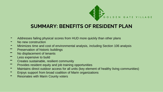

#### **SUMMARY: BENEFITS OF RESIDENT PLAN**

- Addresses failing physical scores from HUD more quickly than other plans
- No new construction
- Minimizes time and cost of environmental analysis, including Section 106 analysis
- Preservation of historic buildings
- No displacement of tenants
- Less expensive to build
- Creates sustainable, resilient community
- Provides resident equity and job training opportunities
- Maintains direct outdoor access for all units (key element of healthy living communities)
- Enjoys support from broad coalition of Marin organizations
- **-** Resonates with Marin County voters